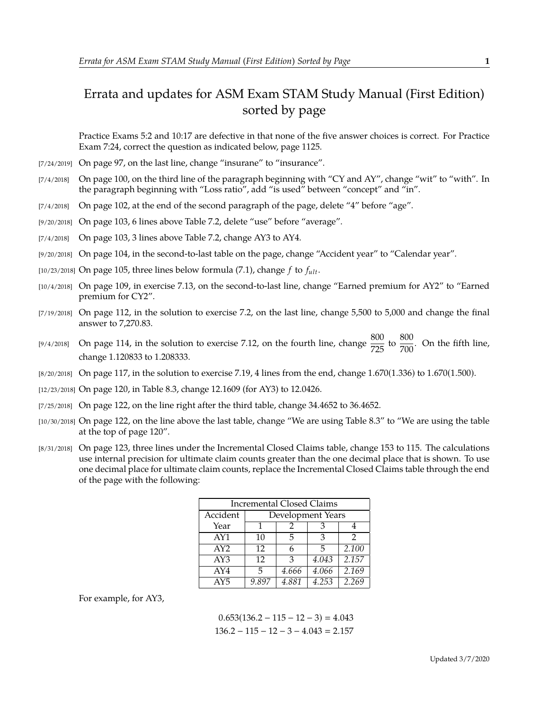## Errata and updates for ASM Exam STAM Study Manual (First Edition) sorted by page

Practice Exams 5:2 and 10:17 are defective in that none of the five answer choices is correct. For Practice Exam 7:24, correct the question as indicated below, page 1125.

- [7/24/2019] On page 97, on the last line, change "insurane" to "insurance".
- $[7/4/2018]$  On page 100, on the third line of the paragraph beginning with "CY and AY", change "wit" to "with". In the paragraph beginning with "Loss ratio", add "is used" between "concept" and "in".
- [7/4/2018] On page 102, at the end of the second paragraph of the page, delete "4" before "age".
- [9/20/2018] On page 103, 6 lines above Table 7.2, delete "use" before "average".
- [7/4/2018] On page 103, 3 lines above Table 7.2, change AY3 to AY4.
- [9/20/2018] On page 104, in the second-to-last table on the page, change "Accident year" to "Calendar year".
- [10/23/2018] On page 105, three lines below formula (7.1), change  $f$  to  $f_{ult}$ .
- [10/4/2018] On page 109, in exercise 7.13, on the second-to-last line, change "Earned premium for AY2" to "Earned premium for CY2".
- [7/19/2018] On page 112, in the solution to exercise 7.2, on the last line, change 5,500 to 5,000 and change the final answer to 7,270.83.
- [9/4/2018] On page 114, in the solution to exercise 7.12, on the fourth line, change  $\frac{800}{725}$  to  $\frac{800}{700}$ . On the fifth line, change 1.120833 to 1.208333.
- [8/20/2018] On page 117, in the solution to exercise 7.19, 4 lines from the end, change <sup>1</sup>.670(1.336) to <sup>1</sup>.670(1.500).
- [12/23/2018] On page 120, in Table 8.3, change 12.1609 (for AY3) to 12.0426.
- $[7/25/2018]$  On page 122, on the line right after the third table, change 34.4652 to 36.4652.
- [10/30/2018] On page 122, on the line above the last table, change "We are using Table 8.3" to "We are using the table at the top of page 120".
- [8/31/2018] On page 123, three lines under the Incremental Closed Claims table, change 153 to 115. The calculations use internal precision for ultimate claim counts greater than the one decimal place that is shown. To use one decimal place for ultimate claim counts, replace the Incremental Closed Claims table through the end of the page with the following:

| <b>Incremental Closed Claims</b> |                   |       |       |       |
|----------------------------------|-------------------|-------|-------|-------|
| Accident                         | Development Years |       |       |       |
| Year                             | 1                 | 2     | З     |       |
| AY1                              | 10                | 5     | З     | っ     |
| AY2                              | 12                | 6     | 5     | 2.100 |
| AY3                              | 12                | 3     | 4.043 | 2.157 |
| AY4                              | 5                 | 4.666 | 4.066 | 2.169 |
| AY <sub>5</sub>                  | 9.897             | 4.881 | 4.253 | 2.269 |

For example, for AY3,

 $0.653(136.2 - 115 - 12 - 3) = 4.043$  $136.2 - 115 - 12 - 3 - 4.043 = 2.157$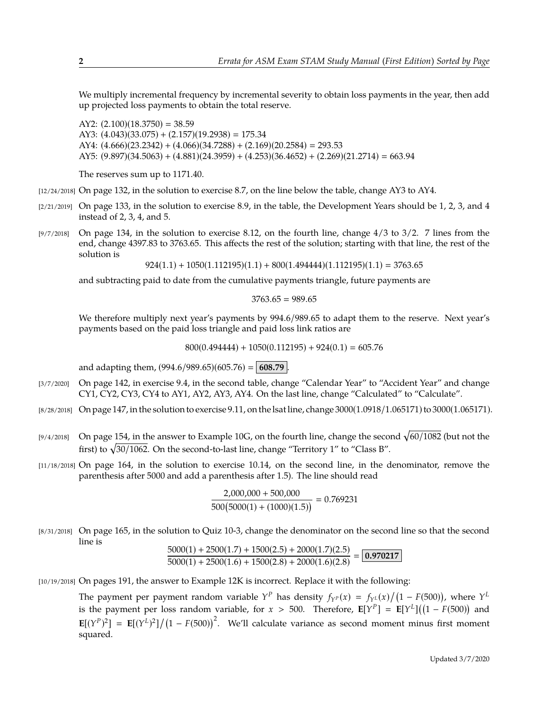We multiply incremental frequency by incremental severity to obtain loss payments in the year, then add up projected loss payments to obtain the total reserve.

AY2:  $(2.100)(18.3750) = 38.59$ AY3:  $(4.043)(33.075) + (2.157)(19.2938) = 175.34$ AY4:  $(4.666)(23.2342) + (4.066)(34.7288) + (2.169)(20.2584) = 293.53$ AY5: (9.897)(34.5063) + (4.881)(24.3959) + (4.253)(36.4652) + (2.269)(21.2714) <sup>=</sup> <sup>663</sup>.<sup>94</sup>

The reserves sum up to 1171.40.

[12/24/2018] On page 132, in the solution to exercise 8.7, on the line below the table, change AY3 to AY4.

- $[2/21/2019]$  On page 133, in the solution to exercise 8.9, in the table, the Development Years should be 1, 2, 3, and 4 instead of 2, 3, 4, and 5.
- [9/7/2018] On page 134, in the solution to exercise 8.12, on the fourth line, change  $4/3$  to  $3/2$ . 7 lines from the end, change 4397.83 to 3763.65. This affects the rest of the solution; starting with that line, the rest of the solution is

 $924(1.1) + 1050(1.112195)(1.1) + 800(1.494444)(1.112195)(1.1) = 3763.65$ 

and subtracting paid to date from the cumulative payments triangle, future payments are

 $3763.65 = 989.65$ 

We therefore multiply next year's payments by 994.6/989.65 to adapt them to the reserve. Next year's payments based on the paid loss triangle and paid loss link ratios are

 $800(0.494444) + 1050(0.112195) + 924(0.1) = 605.76$ 

and adapting them,  $(994.6/989.65)(605.76) = | 608.79 |$ .

- [3/7/2020] On page 142, in exercise 9.4, in the second table, change "Calendar Year" to "Accident Year" and change CY1, CY2, CY3, CY4 to AY1, AY2, AY3, AY4. On the last line, change "Calculated" to "Calculate".
- $[8/28/2018]$  On page 147, in the solution to exercise 9.11, on the lsat line, change 3000(1.0918/1.065171) to 3000(1.065171).
- [9/4/2018] On page 154, in the answer to Example 10G, on the fourth line, change the second  $\sqrt{60/1082}$  (but not the first) to  $\sqrt{30/1062}$ . On the second-to-last line, change "Territory 1" to "Class B".
- [11/18/2018] On page 164, in the solution to exercise 10.14, on the second line, in the denominator, remove the parenthesis after 5000 and add a parenthesis after 1.5). The line should read

$$
\frac{2,000,000 + 500,000}{500(5000(1) + (1000)(1.5))} = 0.769231
$$

[8/31/2018] On page 165, in the solution to Quiz 10-3, change the denominator on the second line so that the second line is

$$
\frac{5000(1) + 2500(1.7) + 1500(2.5) + 2000(1.7)(2.5)}{5000(1) + 2500(1.6) + 1500(2.8) + 2000(1.6)(2.8)} = \boxed{0.970217}
$$

[10/19/2018] On pages 191, the answer to Example 12K is incorrect. Replace it with the following:

The payment per payment random variable  $Y^P$  has density  $f_{Y^P}(x) = f_{Y^L}(x)/(1 - F(500))$ , where  $Y^L$ is the payment per loss random variable, for  $x > 500$ . Therefore,  $\mathbf{E}[Y^P] = \mathbf{E}[Y^L]((1 - F(500))$  and  $\mathbf{E}[(Y^P)^2] = \mathbf{E}[(Y^L)^2]/(1 - F(500))^2$ . We'll calculate variance as second moment minus first moment squared.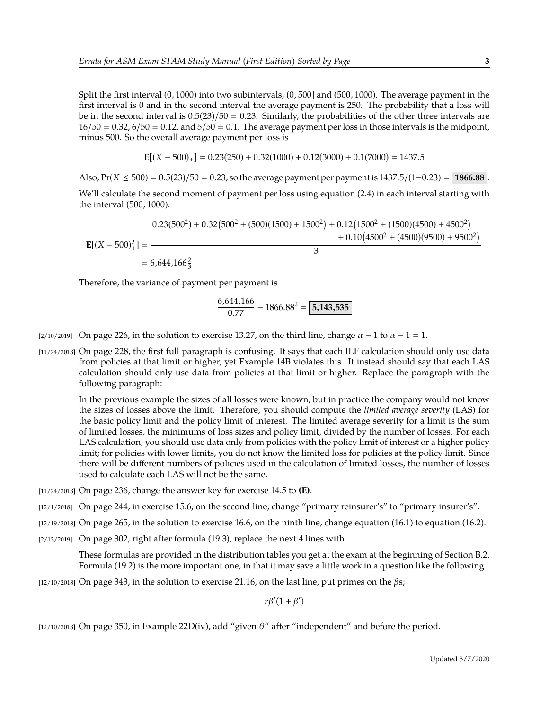Split the first interval (0, <sup>1000</sup>) into two subintervals, (0, <sup>500</sup>] and (500, <sup>1000</sup>). The average payment in the first interval is 0 and in the second interval the average payment is 250. The probability that a loss will be in the second interval is  $0.5(23)/50 = 0.23$ . Similarly, the probabilities of the other three intervals are  $16/50 = 0.32$ ,  $6/50 = 0.12$ , and  $5/50 = 0.1$ . The average payment per loss in those intervals is the midpoint, minus 500. So the overall average payment per loss is

$$
\mathbf{E}[(X - 500)_+] = 0.23(250) + 0.32(1000) + 0.12(3000) + 0.1(7000) = 1437.5
$$

Also,  $Pr(X \le 500) = 0.5(23)/50 = 0.23$ , so the average payment per payment is  $1437.5/(1-0.23) = | 1866.88 |$ 

We'll calculate the second moment of payment per loss using equation (2.4) in each interval starting with the interval (500, <sup>1000</sup>).

$$
E[(X - 500)^{2}] = \frac{0.23(500^{2}) + 0.32(500^{2} + (500)(1500) + 1500^{2}) + 0.12(1500^{2} + (1500)(4500) + 4500^{2})}{3}
$$
  
= 6,644,166<sup>2</sup>/<sub>3</sub>

Therefore, the variance of payment per payment is

$$
\frac{6,644,166}{0.77} - 1866.88^2 = \boxed{5,143,535}
$$

- [2/10/2019] On page 226, in the solution to exercise 13.27, on the third line, change  $\alpha 1$  to  $\alpha 1 = 1$ .
- [11/24/2018] On page 228, the first full paragraph is confusing. It says that each ILF calculation should only use data from policies at that limit or higher, yet Example 14B violates this. It instead should say that each LAS calculation should only use data from policies at that limit or higher. Replace the paragraph with the following paragraph:

In the previous example the sizes of all losses were known, but in practice the company would not know the sizes of losses above the limit. Therefore, you should compute the *limited average severity* (LAS) for the basic policy limit and the policy limit of interest. The limited average severity for a limit is the sum of limited losses, the minimums of loss sizes and policy limit, divided by the number of losses. For each LAS calculation, you should use data only from policies with the policy limit of interest or a higher policy limit; for policies with lower limits, you do not know the limited loss for policies at the policy limit. Since there will be different numbers of policies used in the calculation of limited losses, the number of losses used to calculate each LAS will not be the same.

- [11/24/2018] On page 236, change the answer key for exercise 14.5 to **(E)**.
- [12/1/2018] On page 244, in exercise 15.6, on the second line, change "primary reinsurer's" to "primary insurer's".
- [12/19/2018] On page 265, in the solution to exercise 16.6, on the ninth line, change equation (16.1) to equation (16.2).
- [2/13/2019] On page 302, right after formula (19.3), replace the next 4 lines with

These formulas are provided in the distribution tables you get at the exam at the beginning of Section B.2. Formula (19.2) is the more important one, in that it may save a little work in a question like the following.

 $[12/10/2018]$  On page 343, in the solution to exercise 21.16, on the last line, put primes on the  $\beta s$ ;

 $r\beta'(1+\beta')$ 

[12/10/2018] On page 350, in Example 22D(iv), add "given  $\theta$ " after "independent" and before the period.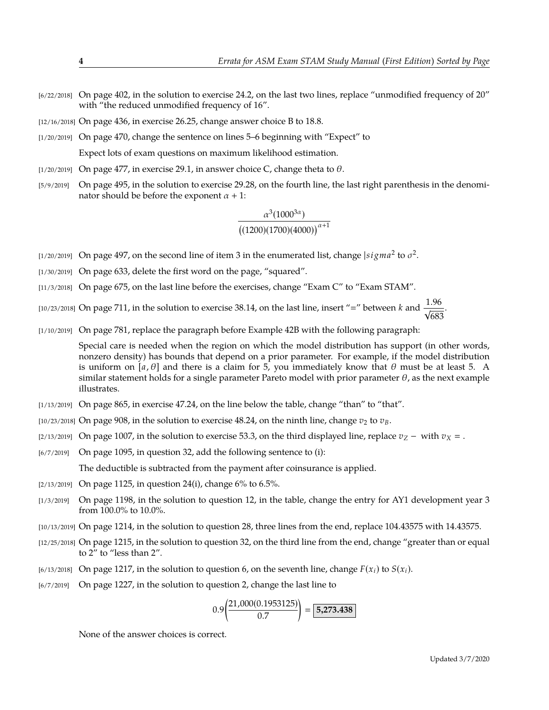- [6/22/2018] On page 402, in the solution to exercise 24.2, on the last two lines, replace "unmodified frequency of 20" with "the reduced unmodified frequency of 16".
- [12/16/2018] On page 436, in exercise 26.25, change answer choice B to 18.8.
- [1/20/2019] On page 470, change the sentence on lines 5–6 beginning with "Expect" to

Expect lots of exam questions on maximum likelihood estimation.

- [1/20/2019] On page 477, in exercise 29.1, in answer choice C, change theta to  $\theta$ .
- [5/9/2019] On page 495, in the solution to exercise 29.28, on the fourth line, the last right parenthesis in the denominator should be before the exponent  $\alpha + 1$ :

$$
\frac{\alpha^3(1000^{3\alpha})}{\left((1200)(1700)(4000)\right)^{\alpha+1}}
$$

- [1/20/2019] On page 497, on the second line of item 3 in the enumerated list, change  $|sigma^2$  to  $\sigma^2$ .
- [1/30/2019] On page 633, delete the first word on the page, "squared".
- [11/3/2018] On page 675, on the last line before the exercises, change "Exam C" to "Exam STAM".

[10/23/2018] On page 711, in the solution to exercise 38.14, on the last line, insert "=" between  $k$  and  $\frac{1.96}{\sqrt{683}}$ 683 .

[1/10/2019] On page 781, replace the paragraph before Example 42B with the following paragraph:

Special care is needed when the region on which the model distribution has support (in other words, nonzero density) has bounds that depend on a prior parameter. For example, if the model distribution is uniform on [a,  $\theta$ ] and there is a claim for 5, you immediately know that  $\theta$  must be at least 5. A similar statement holds for a single parameter Pareto model with prior parameter  $\theta$ , as the next example illustrates.

- [1/13/2019] On page 865, in exercise 47.24, on the line below the table, change "than" to "that".
- [10/23/2018] On page 908, in the solution to exercise 48.24, on the ninth line, change  $v_2$  to  $v_B$ .
- [2/13/2019] On page 1007, in the solution to exercise 53.3, on the third displayed line, replace  $v_Z$  with  $v_X =$ .
- [6/7/2019] On page 1095, in question 32, add the following sentence to (i):

The deductible is subtracted from the payment after coinsurance is applied.

- [2/13/2019] On page 1125, in question 24(i), change 6% to 6.5%.
- [1/3/2019] On page 1198, in the solution to question 12, in the table, change the entry for AY1 development year 3 from 100.0% to 10.0%.
- [10/13/2019] On page 1214, in the solution to question 28, three lines from the end, replace 104.43575 with 14.43575.
- [12/25/2018] On page 1215, in the solution to question 32, on the third line from the end, change "greater than or equal to 2" to "less than 2".
- [6/13/2018] On page 1217, in the solution to question 6, on the seventh line, change  $F(x_i)$  to  $S(x_i)$ .
- [6/7/2019] On page 1227, in the solution to question 2, change the last line to

$$
0.9 \left( \frac{21,000(0.1953125)}{0.7} \right) = \boxed{5,273.438}
$$

None of the answer choices is correct.